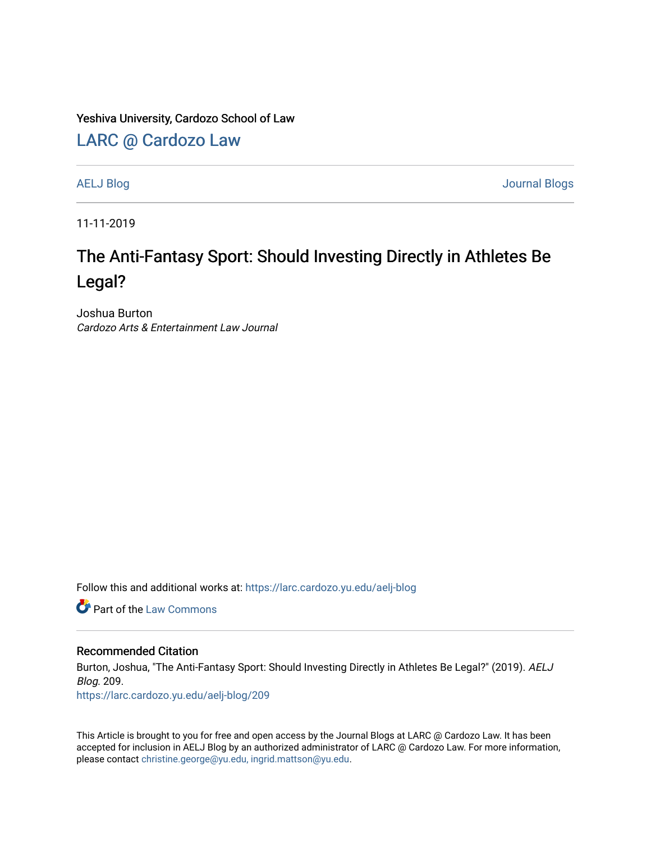Yeshiva University, Cardozo School of Law

[LARC @ Cardozo Law](https://larc.cardozo.yu.edu/)

[AELJ Blog](https://larc.cardozo.yu.edu/aelj-blog) [Journal Blogs](https://larc.cardozo.yu.edu/journal-blogs) 

11-11-2019

## The Anti-Fantasy Sport: Should Investing Directly in Athletes Be Legal?

Joshua Burton Cardozo Arts & Entertainment Law Journal

Follow this and additional works at: [https://larc.cardozo.yu.edu/aelj-blog](https://larc.cardozo.yu.edu/aelj-blog?utm_source=larc.cardozo.yu.edu%2Faelj-blog%2F209&utm_medium=PDF&utm_campaign=PDFCoverPages) 

**C** Part of the [Law Commons](http://network.bepress.com/hgg/discipline/578?utm_source=larc.cardozo.yu.edu%2Faelj-blog%2F209&utm_medium=PDF&utm_campaign=PDFCoverPages)

## Recommended Citation

Burton, Joshua, "The Anti-Fantasy Sport: Should Investing Directly in Athletes Be Legal?" (2019). AELJ Blog. 209.

[https://larc.cardozo.yu.edu/aelj-blog/209](https://larc.cardozo.yu.edu/aelj-blog/209?utm_source=larc.cardozo.yu.edu%2Faelj-blog%2F209&utm_medium=PDF&utm_campaign=PDFCoverPages) 

This Article is brought to you for free and open access by the Journal Blogs at LARC @ Cardozo Law. It has been accepted for inclusion in AELJ Blog by an authorized administrator of LARC @ Cardozo Law. For more information, please contact [christine.george@yu.edu, ingrid.mattson@yu.edu.](mailto:christine.george@yu.edu,%20ingrid.mattson@yu.edu)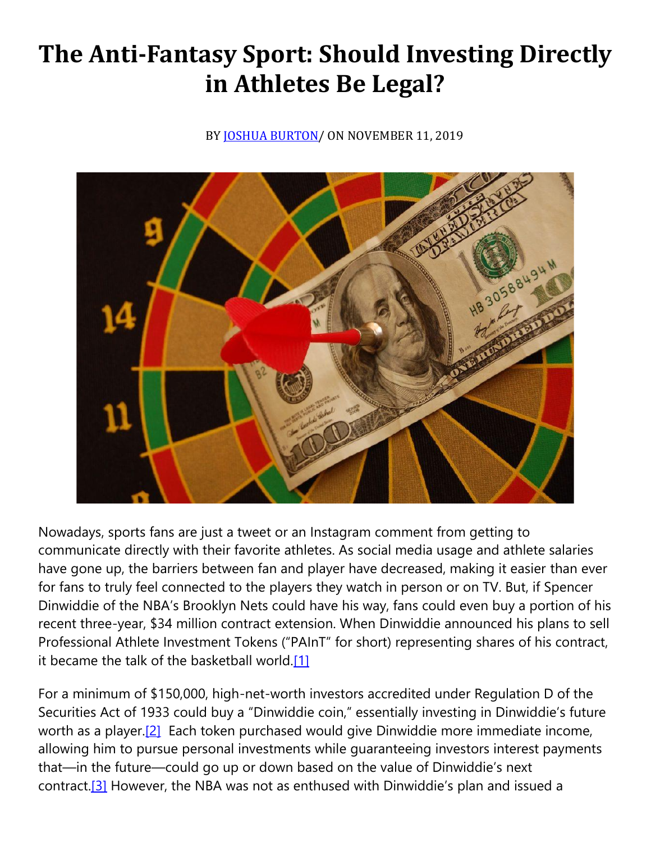## **The Anti-Fantasy Sport: Should Investing Directly in Athletes Be Legal?**

BY **JOSHUA BURTON**/ ON NOVEMBER 11, 2019



Nowadays, sports fans are just a tweet or an Instagram comment from getting to communicate directly with their favorite athletes. As social media usage and athlete salaries have gone up, the barriers between fan and player have decreased, making it easier than ever for fans to truly feel connected to the players they watch in person or on TV. But, if Spencer Dinwiddie of the NBA's Brooklyn Nets could have his way, fans could even buy a portion of his recent three-year, \$34 million contract extension. When Dinwiddie announced his plans to sell Professional Athlete Investment Tokens ("PAInT" for short) representing shares of his contract, it became the talk of the basketball world[.\[1\]](https://cardozoaelj.com/2019/11/11/the-anti-fantasy-sport-should-investing-directly-in-athletes-be-legal/#_ftn1)

For a minimum of \$150,000, high-net-worth investors accredited under Regulation D of the Securities Act of 1933 could buy a "Dinwiddie coin," essentially investing in Dinwiddie's future worth as a player.<sup>[2]</sup> Each token purchased would give Dinwiddie more immediate income, allowing him to pursue personal investments while guaranteeing investors interest payments that—in the future—could go up or down based on the value of Dinwiddie's next contract.<sup>[3]</sup> However, the NBA was not as enthused with Dinwiddie's plan and issued a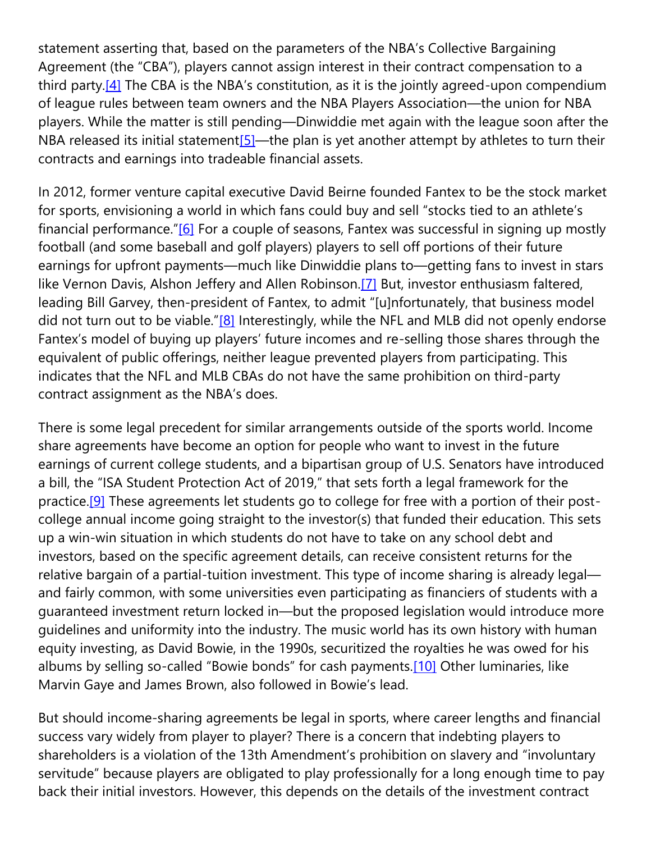statement asserting that, based on the parameters of the NBA's Collective Bargaining Agreement (the "CBA"), players cannot assign interest in their contract compensation to a third party.<sup>[4]</sup> The CBA is the NBA's constitution, as it is the jointly agreed-upon compendium of league rules between team owners and the NBA Players Association—the union for NBA players. While the matter is still pending—Dinwiddie met again with the league soon after the NBA released its initial statement<sup>[5]</sup>—the plan is yet another attempt by athletes to turn their contracts and earnings into tradeable financial assets.

In 2012, former venture capital executive David Beirne founded Fantex to be the stock market for sports, envisioning a world in which fans could buy and sell "stocks tied to an athlete's financial performance."[\[6\]](https://cardozoaelj.com/2019/11/11/the-anti-fantasy-sport-should-investing-directly-in-athletes-be-legal/#_ftn6) For a couple of seasons, Fantex was successful in signing up mostly football (and some baseball and golf players) players to sell off portions of their future earnings for upfront payments—much like Dinwiddie plans to—getting fans to invest in stars like Vernon Davis, Alshon Jeffery and Allen Robinson.<sup>[7]</sup> But, investor enthusiasm faltered, leading Bill Garvey, then-president of Fantex, to admit "[u]nfortunately, that business model did not turn out to be viable." $[8]$  Interestingly, while the NFL and MLB did not openly endorse Fantex's model of buying up players' future incomes and re-selling those shares through the equivalent of public offerings, neither league prevented players from participating. This indicates that the NFL and MLB CBAs do not have the same prohibition on third-party contract assignment as the NBA's does.

There is some legal precedent for similar arrangements outside of the sports world. Income share agreements have become an option for people who want to invest in the future earnings of current college students, and a bipartisan group of U.S. Senators have introduced a bill, the "ISA Student Protection Act of 2019," that sets forth a legal framework for the practice[.\[9\]](https://cardozoaelj.com/2019/11/11/the-anti-fantasy-sport-should-investing-directly-in-athletes-be-legal/#_ftn9) These agreements let students go to college for free with a portion of their postcollege annual income going straight to the investor(s) that funded their education. This sets up a win-win situation in which students do not have to take on any school debt and investors, based on the specific agreement details, can receive consistent returns for the relative bargain of a partial-tuition investment. This type of income sharing is already legal and fairly common, with some universities even participating as financiers of students with a guaranteed investment return locked in—but the proposed legislation would introduce more guidelines and uniformity into the industry. The music world has its own history with human equity investing, as David Bowie, in the 1990s, securitized the royalties he was owed for his albums by selling so-called "Bowie bonds" for cash payments.[\[10\]](https://cardozoaelj.com/2019/11/11/the-anti-fantasy-sport-should-investing-directly-in-athletes-be-legal/#_ftn10) Other luminaries, like Marvin Gaye and James Brown, also followed in Bowie's lead.

But should income-sharing agreements be legal in sports, where career lengths and financial success vary widely from player to player? There is a concern that indebting players to shareholders is a violation of the 13th Amendment's prohibition on slavery and "involuntary servitude" because players are obligated to play professionally for a long enough time to pay back their initial investors. However, this depends on the details of the investment contract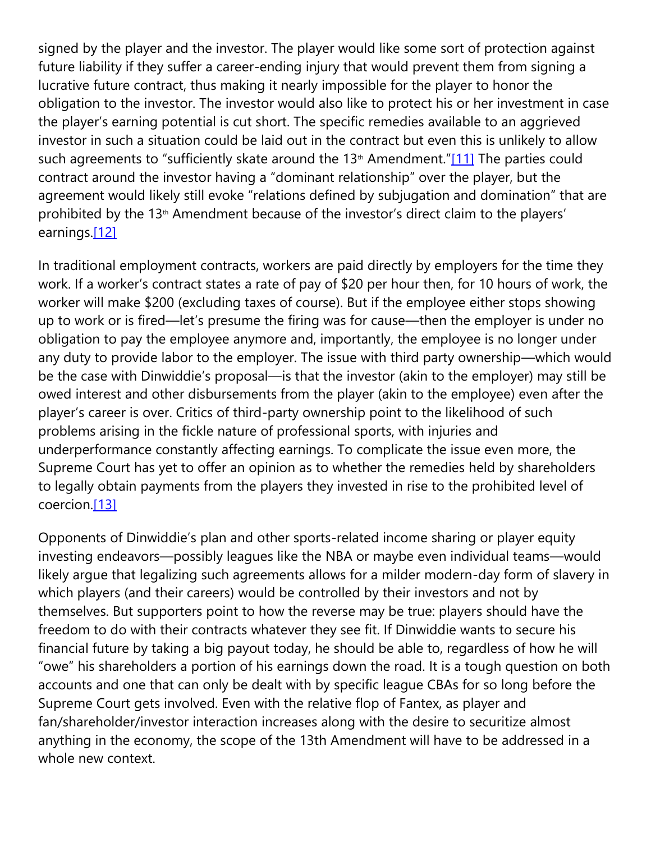signed by the player and the investor. The player would like some sort of protection against future liability if they suffer a career-ending injury that would prevent them from signing a lucrative future contract, thus making it nearly impossible for the player to honor the obligation to the investor. The investor would also like to protect his or her investment in case the player's earning potential is cut short. The specific remedies available to an aggrieved investor in such a situation could be laid out in the contract but even this is unlikely to allow such agreements to "sufficiently skate around the  $13<sup>th</sup>$  Amendment."[\[11\]](https://cardozoaelj.com/2019/11/11/the-anti-fantasy-sport-should-investing-directly-in-athletes-be-legal/#_ftn11) The parties could contract around the investor having a "dominant relationship" over the player, but the agreement would likely still evoke "relations defined by subjugation and domination" that are prohibited by the 13<sup>th</sup> Amendment because of the investor's direct claim to the players' earnings[.\[12\]](https://cardozoaelj.com/2019/11/11/the-anti-fantasy-sport-should-investing-directly-in-athletes-be-legal/#_ftn12)

In traditional employment contracts, workers are paid directly by employers for the time they work. If a worker's contract states a rate of pay of \$20 per hour then, for 10 hours of work, the worker will make \$200 (excluding taxes of course). But if the employee either stops showing up to work or is fired—let's presume the firing was for cause—then the employer is under no obligation to pay the employee anymore and, importantly, the employee is no longer under any duty to provide labor to the employer. The issue with third party ownership—which would be the case with Dinwiddie's proposal—is that the investor (akin to the employer) may still be owed interest and other disbursements from the player (akin to the employee) even after the player's career is over. Critics of third-party ownership point to the likelihood of such problems arising in the fickle nature of professional sports, with injuries and underperformance constantly affecting earnings. To complicate the issue even more, the Supreme Court has yet to offer an opinion as to whether the remedies held by shareholders to legally obtain payments from the players they invested in rise to the prohibited level of coercion[.\[13\]](https://cardozoaelj.com/2019/11/11/the-anti-fantasy-sport-should-investing-directly-in-athletes-be-legal/#_ftn13)

Opponents of Dinwiddie's plan and other sports-related income sharing or player equity investing endeavors—possibly leagues like the NBA or maybe even individual teams—would likely argue that legalizing such agreements allows for a milder modern-day form of slavery in which players (and their careers) would be controlled by their investors and not by themselves. But supporters point to how the reverse may be true: players should have the freedom to do with their contracts whatever they see fit. If Dinwiddie wants to secure his financial future by taking a big payout today, he should be able to, regardless of how he will "owe" his shareholders a portion of his earnings down the road. It is a tough question on both accounts and one that can only be dealt with by specific league CBAs for so long before the Supreme Court gets involved. Even with the relative flop of Fantex, as player and fan/shareholder/investor interaction increases along with the desire to securitize almost anything in the economy, the scope of the 13th Amendment will have to be addressed in a whole new context.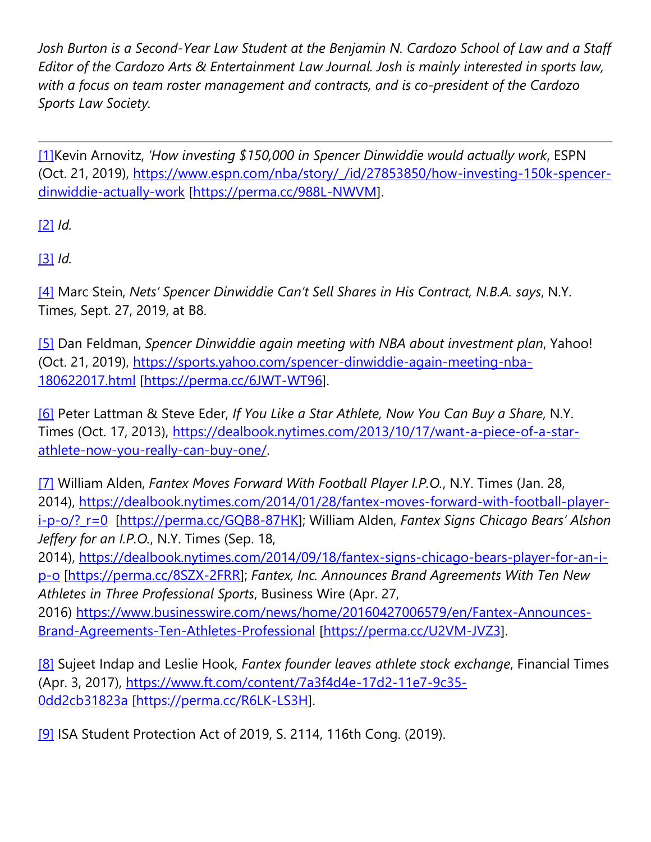*Josh Burton is a Second-Year Law Student at the Benjamin N. Cardozo School of Law and a Staff Editor of the Cardozo Arts & Entertainment Law Journal. Josh is mainly interested in sports law, with a focus on team roster management and contracts, and is co-president of the Cardozo Sports Law Society.*

[\[1\]K](https://cardozoaelj.com/2019/11/11/the-anti-fantasy-sport-should-investing-directly-in-athletes-be-legal/#_ftnref1)evin Arnovitz, *'How investing \$150,000 in Spencer Dinwiddie would actually work*, ESPN (Oct. 21, 2019), [https://www.espn.com/nba/story/\\_/id/27853850/how-investing-150k-spencer](https://www.espn.com/nba/story/_/id/27853850/how-investing-150k-spencer-dinwiddie-actually-work)[dinwiddie-actually-work](https://www.espn.com/nba/story/_/id/27853850/how-investing-150k-spencer-dinwiddie-actually-work) [\[https://perma.cc/988L-NWVM\]](https://perma.cc/988L-NWVM).

[\[2\]](https://cardozoaelj.com/2019/11/11/the-anti-fantasy-sport-should-investing-directly-in-athletes-be-legal/#_ftnref2) *Id.*

[\[3\]](https://cardozoaelj.com/2019/11/11/the-anti-fantasy-sport-should-investing-directly-in-athletes-be-legal/#_ftnref3) *Id.*

[\[4\]](https://cardozoaelj.com/2019/11/11/the-anti-fantasy-sport-should-investing-directly-in-athletes-be-legal/#_ftnref4) Marc Stein, *Nets' Spencer Dinwiddie Can't Sell Shares in His Contract, N.B.A. says*, N.Y. Times, Sept. 27, 2019, at B8.

[\[5\]](https://cardozoaelj.com/2019/11/11/the-anti-fantasy-sport-should-investing-directly-in-athletes-be-legal/#_ftnref5) Dan Feldman, *Spencer Dinwiddie again meeting with NBA about investment plan*, Yahoo! (Oct. 21, 2019), [https://sports.yahoo.com/spencer-dinwiddie-again-meeting-nba-](https://sports.yahoo.com/spencer-dinwiddie-again-meeting-nba-180622017.html)[180622017.html](https://sports.yahoo.com/spencer-dinwiddie-again-meeting-nba-180622017.html) [\[https://perma.cc/6JWT-WT96\]](https://perma.cc/6JWT-WT96).

[\[6\]](https://cardozoaelj.com/2019/11/11/the-anti-fantasy-sport-should-investing-directly-in-athletes-be-legal/#_ftnref6) Peter Lattman & Steve Eder, *If You Like a Star Athlete, Now You Can Buy a Share*, N.Y. Times (Oct. 17, 2013), [https://dealbook.nytimes.com/2013/10/17/want-a-piece-of-a-star](https://dealbook.nytimes.com/2013/10/17/want-a-piece-of-a-star-athlete-now-you-really-can-buy-one/)[athlete-now-you-really-can-buy-one/.](https://dealbook.nytimes.com/2013/10/17/want-a-piece-of-a-star-athlete-now-you-really-can-buy-one/)

[\[7\]](https://cardozoaelj.com/2019/11/11/the-anti-fantasy-sport-should-investing-directly-in-athletes-be-legal/#_ftnref7) William Alden, *Fantex Moves Forward With Football Player I.P.O.*, N.Y. Times (Jan. 28, 2014), [https://dealbook.nytimes.com/2014/01/28/fantex-moves-forward-with-football-player](https://dealbook.nytimes.com/2014/01/28/fantex-moves-forward-with-football-player-i-p-o/?_r=0)[i-p-o/?\\_r=0](https://dealbook.nytimes.com/2014/01/28/fantex-moves-forward-with-football-player-i-p-o/?_r=0) [\[https://perma.cc/GQB8-87HK\]](https://perma.cc/GQB8-87HK); William Alden, *Fantex Signs Chicago Bears' Alshon Jeffery for an I.P.O.*, N.Y. Times (Sep. 18,

2014), [https://dealbook.nytimes.com/2014/09/18/fantex-signs-chicago-bears-player-for-an-i](https://dealbook.nytimes.com/2014/09/18/fantex-signs-chicago-bears-player-for-an-i-p-o)[p-o](https://dealbook.nytimes.com/2014/09/18/fantex-signs-chicago-bears-player-for-an-i-p-o) [\[https://perma.cc/8SZX-2FRR\]](https://perma.cc/8SZX-2FRR); *Fantex, Inc. Announces Brand Agreements With Ten New Athletes in Three Professional Sports*, Business Wire (Apr. 27,

2016) [https://www.businesswire.com/news/home/20160427006579/en/Fantex-Announces-](https://www.businesswire.com/news/home/20160427006579/en/Fantex-Announces-Brand-Agreements-Ten-Athletes-Professional)[Brand-Agreements-Ten-Athletes-Professional](https://www.businesswire.com/news/home/20160427006579/en/Fantex-Announces-Brand-Agreements-Ten-Athletes-Professional) [\[https://perma.cc/U2VM-JVZ3\]](https://perma.cc/U2VM-JVZ3).

[\[8\]](https://cardozoaelj.com/2019/11/11/the-anti-fantasy-sport-should-investing-directly-in-athletes-be-legal/#_ftnref8) Sujeet Indap and Leslie Hook, *Fantex founder leaves athlete stock exchange*, Financial Times (Apr. 3, 2017), [https://www.ft.com/content/7a3f4d4e-17d2-11e7-9c35-](https://www.ft.com/content/7a3f4d4e-17d2-11e7-9c35-0dd2cb31823a) [0dd2cb31823a](https://www.ft.com/content/7a3f4d4e-17d2-11e7-9c35-0dd2cb31823a) [\[https://perma.cc/R6LK-LS3H\]](https://perma.cc/R6LK-LS3H).

[\[9\]](https://cardozoaelj.com/2019/11/11/the-anti-fantasy-sport-should-investing-directly-in-athletes-be-legal/#_ftnref9) ISA Student Protection Act of 2019, S. 2114, 116th Cong. (2019).